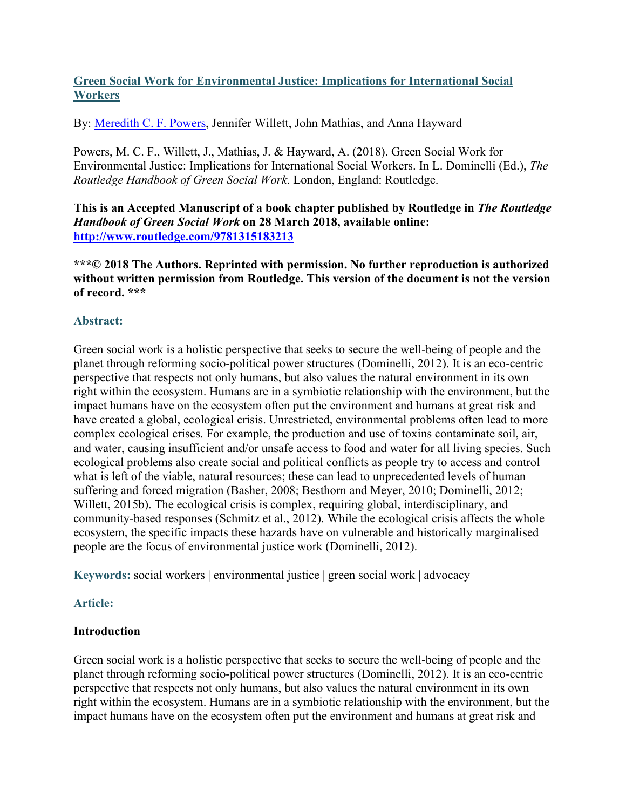# **Green Social Work for Environmental Justice: Implications for International Social Workers**

By: [Meredith C. F. Powers,](https://libres.uncg.edu/ir/uncg/clist.aspx?id=14170) Jennifer Willett, John Mathias, and Anna Hayward

Powers, M. C. F., Willett, J., Mathias, J. & Hayward, A. (2018). Green Social Work for Environmental Justice: Implications for International Social Workers. In L. Dominelli (Ed.), *The Routledge Handbook of Green Social Work*. London, England: Routledge.

**This is an Accepted Manuscript of a book chapter published by Routledge in** *The Routledge Handbook of Green Social Work* **on 28 March 2018, available online: <http://www.routledge.com/9781315183213>**

**\*\*\*© 2018 The Authors. Reprinted with permission. No further reproduction is authorized without written permission from Routledge. This version of the document is not the version of record. \*\*\***

### **Abstract:**

Green social work is a holistic perspective that seeks to secure the well-being of people and the planet through reforming socio-political power structures (Dominelli, 2012). It is an eco-centric perspective that respects not only humans, but also values the natural environment in its own right within the ecosystem. Humans are in a symbiotic relationship with the environment, but the impact humans have on the ecosystem often put the environment and humans at great risk and have created a global, ecological crisis. Unrestricted, environmental problems often lead to more complex ecological crises. For example, the production and use of toxins contaminate soil, air, and water, causing insufficient and/or unsafe access to food and water for all living species. Such ecological problems also create social and political conflicts as people try to access and control what is left of the viable, natural resources; these can lead to unprecedented levels of human suffering and forced migration (Basher, 2008; Besthorn and Meyer, 2010; Dominelli, 2012; Willett, 2015b). The ecological crisis is complex, requiring global, interdisciplinary, and community-based responses (Schmitz et al., 2012). While the ecological crisis affects the whole ecosystem, the specific impacts these hazards have on vulnerable and historically marginalised people are the focus of environmental justice work (Dominelli, 2012).

**Keywords:** social workers | environmental justice | green social work | advocacy

## **Article:**

## **Introduction**

Green social work is a holistic perspective that seeks to secure the well-being of people and the planet through reforming socio-political power structures (Dominelli, 2012). It is an eco-centric perspective that respects not only humans, but also values the natural environment in its own right within the ecosystem. Humans are in a symbiotic relationship with the environment, but the impact humans have on the ecosystem often put the environment and humans at great risk and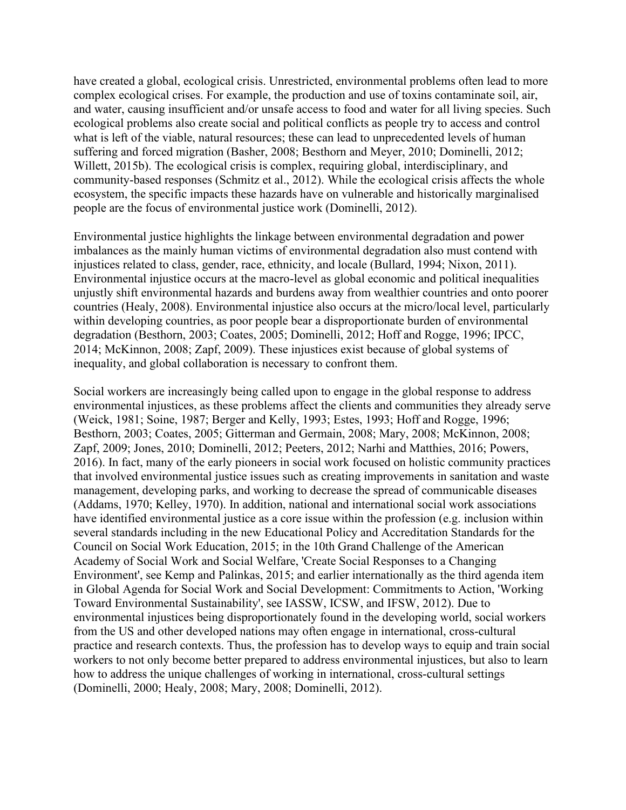have created a global, ecological crisis. Unrestricted, environmental problems often lead to more complex ecological crises. For example, the production and use of toxins contaminate soil, air, and water, causing insufficient and/or unsafe access to food and water for all living species. Such ecological problems also create social and political conflicts as people try to access and control what is left of the viable, natural resources; these can lead to unprecedented levels of human suffering and forced migration (Basher, 2008; Besthorn and Meyer, 2010; Dominelli, 2012; Willett, 2015b). The ecological crisis is complex, requiring global, interdisciplinary, and community-based responses (Schmitz et al., 2012). While the ecological crisis affects the whole ecosystem, the specific impacts these hazards have on vulnerable and historically marginalised people are the focus of environmental justice work (Dominelli, 2012).

Environmental justice highlights the linkage between environmental degradation and power imbalances as the mainly human victims of environmental degradation also must contend with injustices related to class, gender, race, ethnicity, and locale (Bullard, 1994; Nixon, 2011). Environmental injustice occurs at the macro-level as global economic and political inequalities unjustly shift environmental hazards and burdens away from wealthier countries and onto poorer countries (Healy, 2008). Environmental injustice also occurs at the micro/local level, particularly within developing countries, as poor people bear a disproportionate burden of environmental degradation (Besthorn, 2003; Coates, 2005; Dominelli, 2012; Hoff and Rogge, 1996; IPCC, 2014; McKinnon, 2008; Zapf, 2009). These injustices exist because of global systems of inequality, and global collaboration is necessary to confront them.

Social workers are increasingly being called upon to engage in the global response to address environmental injustices, as these problems affect the clients and communities they already serve (Weick, 1981; Soine, 1987; Berger and Kelly, 1993; Estes, 1993; Hoff and Rogge, 1996; Besthorn, 2003; Coates, 2005; Gitterman and Germain, 2008; Mary, 2008; McKinnon, 2008; Zapf, 2009; Jones, 2010; Dominelli, 2012; Peeters, 2012; Narhi and Matthies, 2016; Powers, 2016). In fact, many of the early pioneers in social work focused on holistic community practices that involved environmental justice issues such as creating improvements in sanitation and waste management, developing parks, and working to decrease the spread of communicable diseases (Addams, 1970; Kelley, 1970). In addition, national and international social work associations have identified environmental justice as a core issue within the profession (e.g. inclusion within several standards including in the new Educational Policy and Accreditation Standards for the Council on Social Work Education, 2015; in the 10th Grand Challenge of the American Academy of Social Work and Social Welfare, 'Create Social Responses to a Changing Environment', see Kemp and Palinkas, 2015; and earlier internationally as the third agenda item in Global Agenda for Social Work and Social Development: Commitments to Action, 'Working Toward Environmental Sustainability', see IASSW, ICSW, and IFSW, 2012). Due to environmental injustices being disproportionately found in the developing world, social workers from the US and other developed nations may often engage in international, cross-cultural practice and research contexts. Thus, the profession has to develop ways to equip and train social workers to not only become better prepared to address environmental injustices, but also to learn how to address the unique challenges of working in international, cross-cultural settings (Dominelli, 2000; Healy, 2008; Mary, 2008; Dominelli, 2012).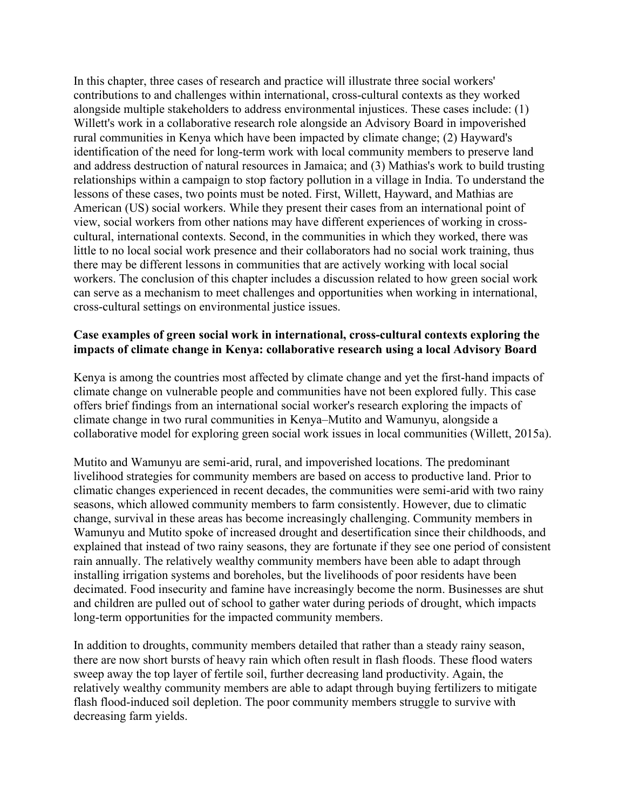In this chapter, three cases of research and practice will illustrate three social workers' contributions to and challenges within international, cross-cultural contexts as they worked alongside multiple stakeholders to address environmental injustices. These cases include: (1) Willett's work in a collaborative research role alongside an Advisory Board in impoverished rural communities in Kenya which have been impacted by climate change; (2) Hayward's identification of the need for long-term work with local community members to preserve land and address destruction of natural resources in Jamaica; and (3) Mathias's work to build trusting relationships within a campaign to stop factory pollution in a village in India. To understand the lessons of these cases, two points must be noted. First, Willett, Hayward, and Mathias are American (US) social workers. While they present their cases from an international point of view, social workers from other nations may have different experiences of working in crosscultural, international contexts. Second, in the communities in which they worked, there was little to no local social work presence and their collaborators had no social work training, thus there may be different lessons in communities that are actively working with local social workers. The conclusion of this chapter includes a discussion related to how green social work can serve as a mechanism to meet challenges and opportunities when working in international, cross-cultural settings on environmental justice issues.

### **Case examples of green social work in international, cross-cultural contexts exploring the impacts of climate change in Kenya: collaborative research using a local Advisory Board**

Kenya is among the countries most affected by climate change and yet the first-hand impacts of climate change on vulnerable people and communities have not been explored fully. This case offers brief findings from an international social worker's research exploring the impacts of climate change in two rural communities in Kenya–Mutito and Wamunyu, alongside a collaborative model for exploring green social work issues in local communities (Willett, 2015a).

Mutito and Wamunyu are semi-arid, rural, and impoverished locations. The predominant livelihood strategies for community members are based on access to productive land. Prior to climatic changes experienced in recent decades, the communities were semi-arid with two rainy seasons, which allowed community members to farm consistently. However, due to climatic change, survival in these areas has become increasingly challenging. Community members in Wamunyu and Mutito spoke of increased drought and desertification since their childhoods, and explained that instead of two rainy seasons, they are fortunate if they see one period of consistent rain annually. The relatively wealthy community members have been able to adapt through installing irrigation systems and boreholes, but the livelihoods of poor residents have been decimated. Food insecurity and famine have increasingly become the norm. Businesses are shut and children are pulled out of school to gather water during periods of drought, which impacts long-term opportunities for the impacted community members.

In addition to droughts, community members detailed that rather than a steady rainy season, there are now short bursts of heavy rain which often result in flash floods. These flood waters sweep away the top layer of fertile soil, further decreasing land productivity. Again, the relatively wealthy community members are able to adapt through buying fertilizers to mitigate flash flood-induced soil depletion. The poor community members struggle to survive with decreasing farm yields.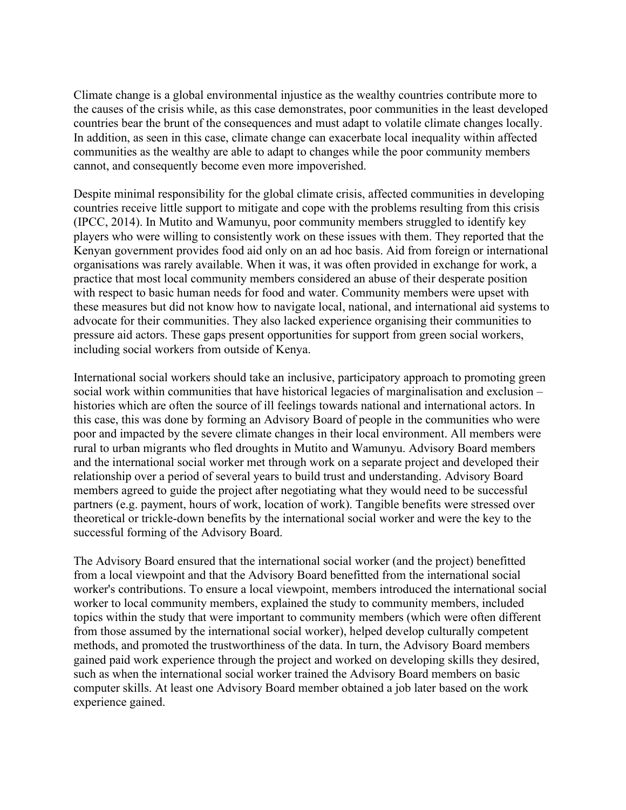Climate change is a global environmental injustice as the wealthy countries contribute more to the causes of the crisis while, as this case demonstrates, poor communities in the least developed countries bear the brunt of the consequences and must adapt to volatile climate changes locally. In addition, as seen in this case, climate change can exacerbate local inequality within affected communities as the wealthy are able to adapt to changes while the poor community members cannot, and consequently become even more impoverished.

Despite minimal responsibility for the global climate crisis, affected communities in developing countries receive little support to mitigate and cope with the problems resulting from this crisis (IPCC, 2014). In Mutito and Wamunyu, poor community members struggled to identify key players who were willing to consistently work on these issues with them. They reported that the Kenyan government provides food aid only on an ad hoc basis. Aid from foreign or international organisations was rarely available. When it was, it was often provided in exchange for work, a practice that most local community members considered an abuse of their desperate position with respect to basic human needs for food and water. Community members were upset with these measures but did not know how to navigate local, national, and international aid systems to advocate for their communities. They also lacked experience organising their communities to pressure aid actors. These gaps present opportunities for support from green social workers, including social workers from outside of Kenya.

International social workers should take an inclusive, participatory approach to promoting green social work within communities that have historical legacies of marginalisation and exclusion – histories which are often the source of ill feelings towards national and international actors. In this case, this was done by forming an Advisory Board of people in the communities who were poor and impacted by the severe climate changes in their local environment. All members were rural to urban migrants who fled droughts in Mutito and Wamunyu. Advisory Board members and the international social worker met through work on a separate project and developed their relationship over a period of several years to build trust and understanding. Advisory Board members agreed to guide the project after negotiating what they would need to be successful partners (e.g. payment, hours of work, location of work). Tangible benefits were stressed over theoretical or trickle-down benefits by the international social worker and were the key to the successful forming of the Advisory Board.

The Advisory Board ensured that the international social worker (and the project) benefitted from a local viewpoint and that the Advisory Board benefitted from the international social worker's contributions. To ensure a local viewpoint, members introduced the international social worker to local community members, explained the study to community members, included topics within the study that were important to community members (which were often different from those assumed by the international social worker), helped develop culturally competent methods, and promoted the trustworthiness of the data. In turn, the Advisory Board members gained paid work experience through the project and worked on developing skills they desired, such as when the international social worker trained the Advisory Board members on basic computer skills. At least one Advisory Board member obtained a job later based on the work experience gained.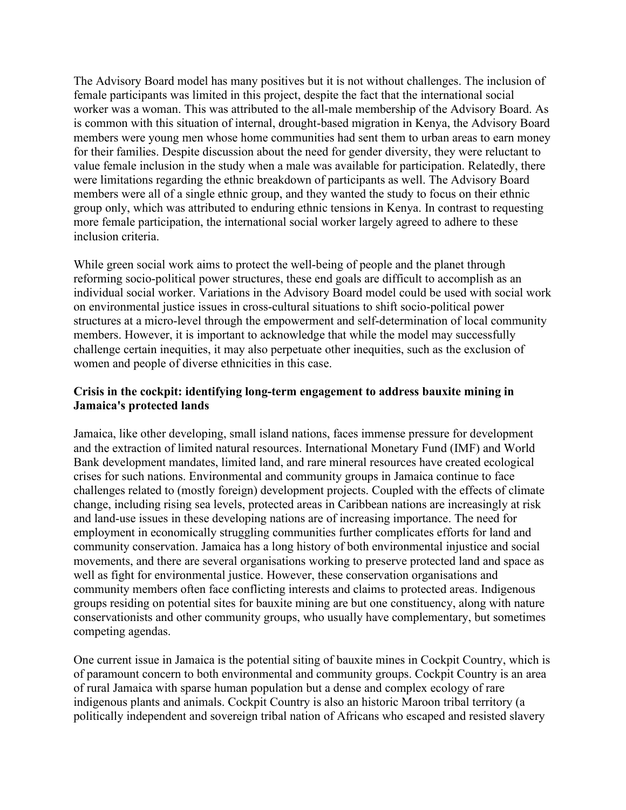The Advisory Board model has many positives but it is not without challenges. The inclusion of female participants was limited in this project, despite the fact that the international social worker was a woman. This was attributed to the all-male membership of the Advisory Board. As is common with this situation of internal, drought-based migration in Kenya, the Advisory Board members were young men whose home communities had sent them to urban areas to earn money for their families. Despite discussion about the need for gender diversity, they were reluctant to value female inclusion in the study when a male was available for participation. Relatedly, there were limitations regarding the ethnic breakdown of participants as well. The Advisory Board members were all of a single ethnic group, and they wanted the study to focus on their ethnic group only, which was attributed to enduring ethnic tensions in Kenya. In contrast to requesting more female participation, the international social worker largely agreed to adhere to these inclusion criteria.

While green social work aims to protect the well-being of people and the planet through reforming socio-political power structures, these end goals are difficult to accomplish as an individual social worker. Variations in the Advisory Board model could be used with social work on environmental justice issues in cross-cultural situations to shift socio-political power structures at a micro-level through the empowerment and self-determination of local community members. However, it is important to acknowledge that while the model may successfully challenge certain inequities, it may also perpetuate other inequities, such as the exclusion of women and people of diverse ethnicities in this case.

### **Crisis in the cockpit: identifying long-term engagement to address bauxite mining in Jamaica's protected lands**

Jamaica, like other developing, small island nations, faces immense pressure for development and the extraction of limited natural resources. International Monetary Fund (IMF) and World Bank development mandates, limited land, and rare mineral resources have created ecological crises for such nations. Environmental and community groups in Jamaica continue to face challenges related to (mostly foreign) development projects. Coupled with the effects of climate change, including rising sea levels, protected areas in Caribbean nations are increasingly at risk and land-use issues in these developing nations are of increasing importance. The need for employment in economically struggling communities further complicates efforts for land and community conservation. Jamaica has a long history of both environmental injustice and social movements, and there are several organisations working to preserve protected land and space as well as fight for environmental justice. However, these conservation organisations and community members often face conflicting interests and claims to protected areas. Indigenous groups residing on potential sites for bauxite mining are but one constituency, along with nature conservationists and other community groups, who usually have complementary, but sometimes competing agendas.

One current issue in Jamaica is the potential siting of bauxite mines in Cockpit Country, which is of paramount concern to both environmental and community groups. Cockpit Country is an area of rural Jamaica with sparse human population but a dense and complex ecology of rare indigenous plants and animals. Cockpit Country is also an historic Maroon tribal territory (a politically independent and sovereign tribal nation of Africans who escaped and resisted slavery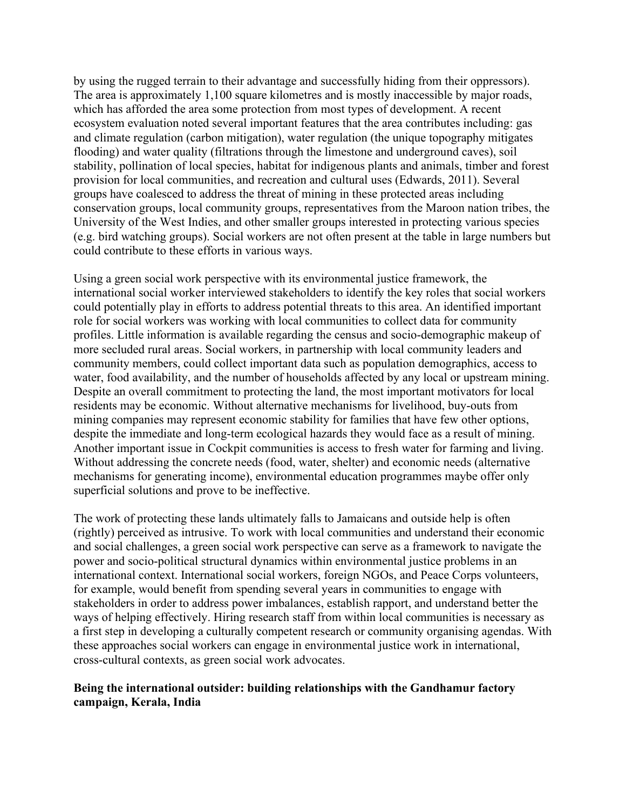by using the rugged terrain to their advantage and successfully hiding from their oppressors). The area is approximately 1,100 square kilometres and is mostly inaccessible by major roads, which has afforded the area some protection from most types of development. A recent ecosystem evaluation noted several important features that the area contributes including: gas and climate regulation (carbon mitigation), water regulation (the unique topography mitigates flooding) and water quality (filtrations through the limestone and underground caves), soil stability, pollination of local species, habitat for indigenous plants and animals, timber and forest provision for local communities, and recreation and cultural uses (Edwards, 2011). Several groups have coalesced to address the threat of mining in these protected areas including conservation groups, local community groups, representatives from the Maroon nation tribes, the University of the West Indies, and other smaller groups interested in protecting various species (e.g. bird watching groups). Social workers are not often present at the table in large numbers but could contribute to these efforts in various ways.

Using a green social work perspective with its environmental justice framework, the international social worker interviewed stakeholders to identify the key roles that social workers could potentially play in efforts to address potential threats to this area. An identified important role for social workers was working with local communities to collect data for community profiles. Little information is available regarding the census and socio-demographic makeup of more secluded rural areas. Social workers, in partnership with local community leaders and community members, could collect important data such as population demographics, access to water, food availability, and the number of households affected by any local or upstream mining. Despite an overall commitment to protecting the land, the most important motivators for local residents may be economic. Without alternative mechanisms for livelihood, buy-outs from mining companies may represent economic stability for families that have few other options, despite the immediate and long-term ecological hazards they would face as a result of mining. Another important issue in Cockpit communities is access to fresh water for farming and living. Without addressing the concrete needs (food, water, shelter) and economic needs (alternative mechanisms for generating income), environmental education programmes maybe offer only superficial solutions and prove to be ineffective.

The work of protecting these lands ultimately falls to Jamaicans and outside help is often (rightly) perceived as intrusive. To work with local communities and understand their economic and social challenges, a green social work perspective can serve as a framework to navigate the power and socio-political structural dynamics within environmental justice problems in an international context. International social workers, foreign NGOs, and Peace Corps volunteers, for example, would benefit from spending several years in communities to engage with stakeholders in order to address power imbalances, establish rapport, and understand better the ways of helping effectively. Hiring research staff from within local communities is necessary as a first step in developing a culturally competent research or community organising agendas. With these approaches social workers can engage in environmental justice work in international, cross-cultural contexts, as green social work advocates.

#### **Being the international outsider: building relationships with the Gandhamur factory campaign, Kerala, India**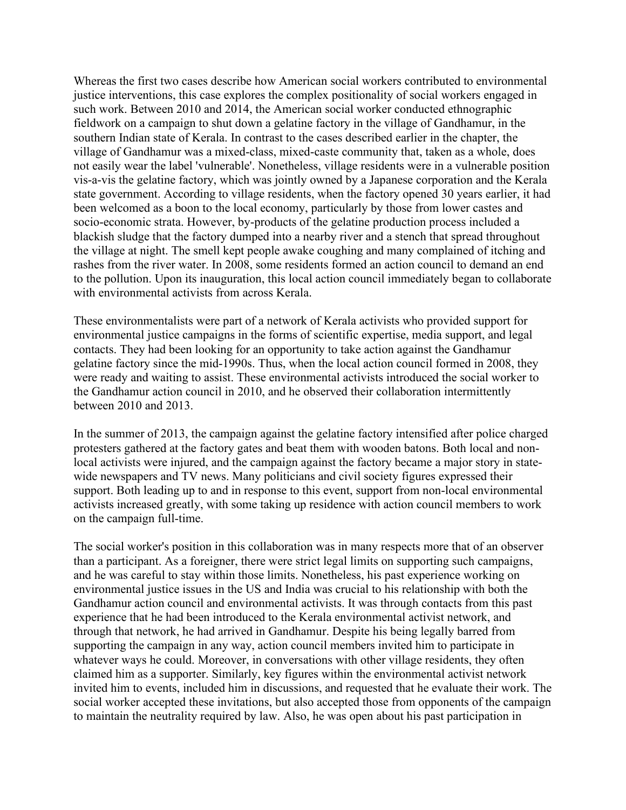Whereas the first two cases describe how American social workers contributed to environmental justice interventions, this case explores the complex positionality of social workers engaged in such work. Between 2010 and 2014, the American social worker conducted ethnographic fieldwork on a campaign to shut down a gelatine factory in the village of Gandhamur, in the southern Indian state of Kerala. In contrast to the cases described earlier in the chapter, the village of Gandhamur was a mixed-class, mixed-caste community that, taken as a whole, does not easily wear the label 'vulnerable'. Nonetheless, village residents were in a vulnerable position vis-a-vis the gelatine factory, which was jointly owned by a Japanese corporation and the Kerala state government. According to village residents, when the factory opened 30 years earlier, it had been welcomed as a boon to the local economy, particularly by those from lower castes and socio-economic strata. However, by-products of the gelatine production process included a blackish sludge that the factory dumped into a nearby river and a stench that spread throughout the village at night. The smell kept people awake coughing and many complained of itching and rashes from the river water. In 2008, some residents formed an action council to demand an end to the pollution. Upon its inauguration, this local action council immediately began to collaborate with environmental activists from across Kerala.

These environmentalists were part of a network of Kerala activists who provided support for environmental justice campaigns in the forms of scientific expertise, media support, and legal contacts. They had been looking for an opportunity to take action against the Gandhamur gelatine factory since the mid-1990s. Thus, when the local action council formed in 2008, they were ready and waiting to assist. These environmental activists introduced the social worker to the Gandhamur action council in 2010, and he observed their collaboration intermittently between 2010 and 2013.

In the summer of 2013, the campaign against the gelatine factory intensified after police charged protesters gathered at the factory gates and beat them with wooden batons. Both local and nonlocal activists were injured, and the campaign against the factory became a major story in statewide newspapers and TV news. Many politicians and civil society figures expressed their support. Both leading up to and in response to this event, support from non-local environmental activists increased greatly, with some taking up residence with action council members to work on the campaign full-time.

The social worker's position in this collaboration was in many respects more that of an observer than a participant. As a foreigner, there were strict legal limits on supporting such campaigns, and he was careful to stay within those limits. Nonetheless, his past experience working on environmental justice issues in the US and India was crucial to his relationship with both the Gandhamur action council and environmental activists. It was through contacts from this past experience that he had been introduced to the Kerala environmental activist network, and through that network, he had arrived in Gandhamur. Despite his being legally barred from supporting the campaign in any way, action council members invited him to participate in whatever ways he could. Moreover, in conversations with other village residents, they often claimed him as a supporter. Similarly, key figures within the environmental activist network invited him to events, included him in discussions, and requested that he evaluate their work. The social worker accepted these invitations, but also accepted those from opponents of the campaign to maintain the neutrality required by law. Also, he was open about his past participation in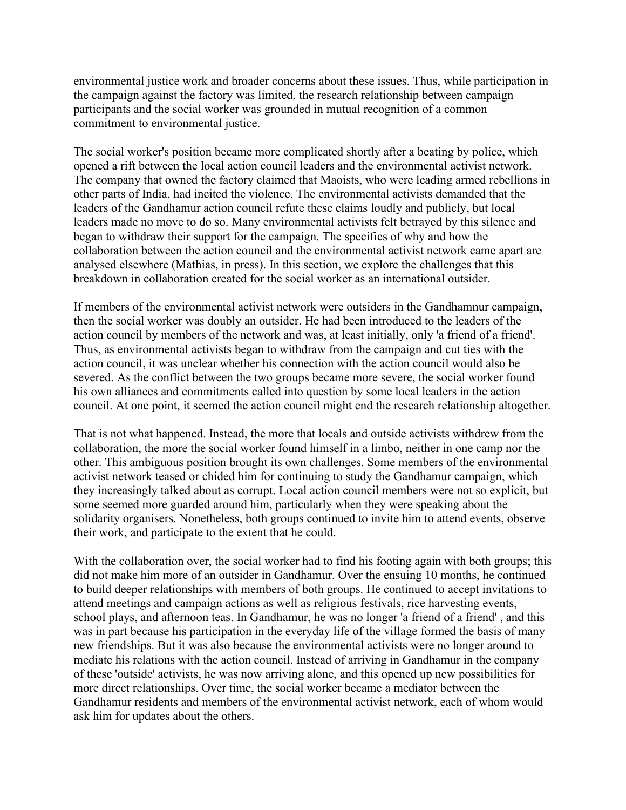environmental justice work and broader concerns about these issues. Thus, while participation in the campaign against the factory was limited, the research relationship between campaign participants and the social worker was grounded in mutual recognition of a common commitment to environmental justice.

The social worker's position became more complicated shortly after a beating by police, which opened a rift between the local action council leaders and the environmental activist network. The company that owned the factory claimed that Maoists, who were leading armed rebellions in other parts of India, had incited the violence. The environmental activists demanded that the leaders of the Gandhamur action council refute these claims loudly and publicly, but local leaders made no move to do so. Many environmental activists felt betrayed by this silence and began to withdraw their support for the campaign. The specifics of why and how the collaboration between the action council and the environmental activist network came apart are analysed elsewhere (Mathias, in press). In this section, we explore the challenges that this breakdown in collaboration created for the social worker as an international outsider.

If members of the environmental activist network were outsiders in the Gandhamnur campaign, then the social worker was doubly an outsider. He had been introduced to the leaders of the action council by members of the network and was, at least initially, only 'a friend of a friend'. Thus, as environmental activists began to withdraw from the campaign and cut ties with the action council, it was unclear whether his connection with the action council would also be severed. As the conflict between the two groups became more severe, the social worker found his own alliances and commitments called into question by some local leaders in the action council. At one point, it seemed the action council might end the research relationship altogether.

That is not what happened. Instead, the more that locals and outside activists withdrew from the collaboration, the more the social worker found himself in a limbo, neither in one camp nor the other. This ambiguous position brought its own challenges. Some members of the environmental activist network teased or chided him for continuing to study the Gandhamur campaign, which they increasingly talked about as corrupt. Local action council members were not so explicit, but some seemed more guarded around him, particularly when they were speaking about the solidarity organisers. Nonetheless, both groups continued to invite him to attend events, observe their work, and participate to the extent that he could.

With the collaboration over, the social worker had to find his footing again with both groups; this did not make him more of an outsider in Gandhamur. Over the ensuing 10 months, he continued to build deeper relationships with members of both groups. He continued to accept invitations to attend meetings and campaign actions as well as religious festivals, rice harvesting events, school plays, and afternoon teas. In Gandhamur, he was no longer 'a friend of a friend' , and this was in part because his participation in the everyday life of the village formed the basis of many new friendships. But it was also because the environmental activists were no longer around to mediate his relations with the action council. Instead of arriving in Gandhamur in the company of these 'outside' activists, he was now arriving alone, and this opened up new possibilities for more direct relationships. Over time, the social worker became a mediator between the Gandhamur residents and members of the environmental activist network, each of whom would ask him for updates about the others.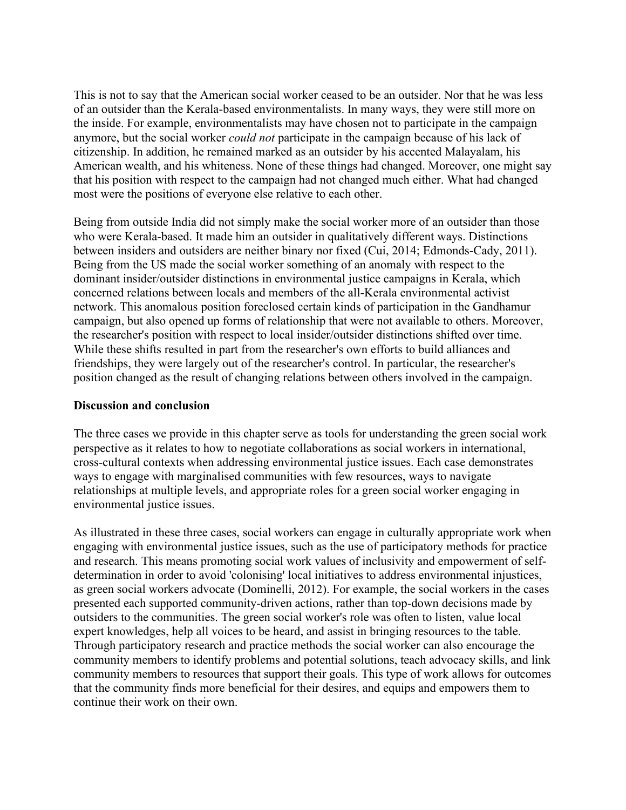This is not to say that the American social worker ceased to be an outsider. Nor that he was less of an outsider than the Kerala-based environmentalists. In many ways, they were still more on the inside. For example, environmentalists may have chosen not to participate in the campaign anymore, but the social worker *could not* participate in the campaign because of his lack of citizenship. In addition, he remained marked as an outsider by his accented Malayalam, his American wealth, and his whiteness. None of these things had changed. Moreover, one might say that his position with respect to the campaign had not changed much either. What had changed most were the positions of everyone else relative to each other.

Being from outside India did not simply make the social worker more of an outsider than those who were Kerala-based. It made him an outsider in qualitatively different ways. Distinctions between insiders and outsiders are neither binary nor fixed (Cui, 2014; Edmonds-Cady, 2011). Being from the US made the social worker something of an anomaly with respect to the dominant insider/outsider distinctions in environmental justice campaigns in Kerala, which concerned relations between locals and members of the all-Kerala environmental activist network. This anomalous position foreclosed certain kinds of participation in the Gandhamur campaign, but also opened up forms of relationship that were not available to others. Moreover, the researcher's position with respect to local insider/outsider distinctions shifted over time. While these shifts resulted in part from the researcher's own efforts to build alliances and friendships, they were largely out of the researcher's control. In particular, the researcher's position changed as the result of changing relations between others involved in the campaign.

#### **Discussion and conclusion**

The three cases we provide in this chapter serve as tools for understanding the green social work perspective as it relates to how to negotiate collaborations as social workers in international, cross-cultural contexts when addressing environmental justice issues. Each case demonstrates ways to engage with marginalised communities with few resources, ways to navigate relationships at multiple levels, and appropriate roles for a green social worker engaging in environmental justice issues.

As illustrated in these three cases, social workers can engage in culturally appropriate work when engaging with environmental justice issues, such as the use of participatory methods for practice and research. This means promoting social work values of inclusivity and empowerment of selfdetermination in order to avoid 'colonising' local initiatives to address environmental injustices, as green social workers advocate (Dominelli, 2012). For example, the social workers in the cases presented each supported community-driven actions, rather than top-down decisions made by outsiders to the communities. The green social worker's role was often to listen, value local expert knowledges, help all voices to be heard, and assist in bringing resources to the table. Through participatory research and practice methods the social worker can also encourage the community members to identify problems and potential solutions, teach advocacy skills, and link community members to resources that support their goals. This type of work allows for outcomes that the community finds more beneficial for their desires, and equips and empowers them to continue their work on their own.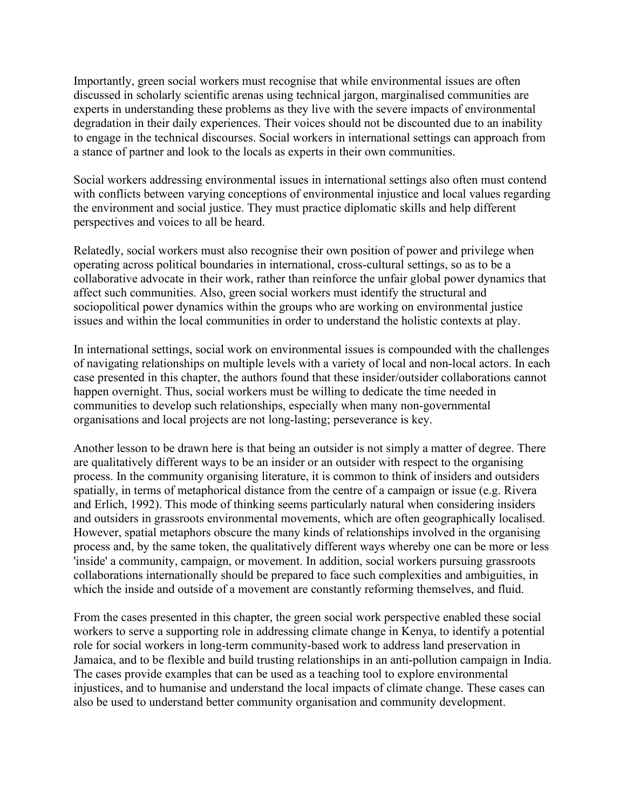Importantly, green social workers must recognise that while environmental issues are often discussed in scholarly scientific arenas using technical jargon, marginalised communities are experts in understanding these problems as they live with the severe impacts of environmental degradation in their daily experiences. Their voices should not be discounted due to an inability to engage in the technical discourses. Social workers in international settings can approach from a stance of partner and look to the locals as experts in their own communities.

Social workers addressing environmental issues in international settings also often must contend with conflicts between varying conceptions of environmental injustice and local values regarding the environment and social justice. They must practice diplomatic skills and help different perspectives and voices to all be heard.

Relatedly, social workers must also recognise their own position of power and privilege when operating across political boundaries in international, cross-cultural settings, so as to be a collaborative advocate in their work, rather than reinforce the unfair global power dynamics that affect such communities. Also, green social workers must identify the structural and sociopolitical power dynamics within the groups who are working on environmental justice issues and within the local communities in order to understand the holistic contexts at play.

In international settings, social work on environmental issues is compounded with the challenges of navigating relationships on multiple levels with a variety of local and non-local actors. In each case presented in this chapter, the authors found that these insider/outsider collaborations cannot happen overnight. Thus, social workers must be willing to dedicate the time needed in communities to develop such relationships, especially when many non-governmental organisations and local projects are not long-lasting; perseverance is key.

Another lesson to be drawn here is that being an outsider is not simply a matter of degree. There are qualitatively different ways to be an insider or an outsider with respect to the organising process. In the community organising literature, it is common to think of insiders and outsiders spatially, in terms of metaphorical distance from the centre of a campaign or issue (e.g. Rivera and Erlich, 1992). This mode of thinking seems particularly natural when considering insiders and outsiders in grassroots environmental movements, which are often geographically localised. However, spatial metaphors obscure the many kinds of relationships involved in the organising process and, by the same token, the qualitatively different ways whereby one can be more or less 'inside' a community, campaign, or movement. In addition, social workers pursuing grassroots collaborations internationally should be prepared to face such complexities and ambiguities, in which the inside and outside of a movement are constantly reforming themselves, and fluid.

From the cases presented in this chapter, the green social work perspective enabled these social workers to serve a supporting role in addressing climate change in Kenya, to identify a potential role for social workers in long-term community-based work to address land preservation in Jamaica, and to be flexible and build trusting relationships in an anti-pollution campaign in India. The cases provide examples that can be used as a teaching tool to explore environmental injustices, and to humanise and understand the local impacts of climate change. These cases can also be used to understand better community organisation and community development.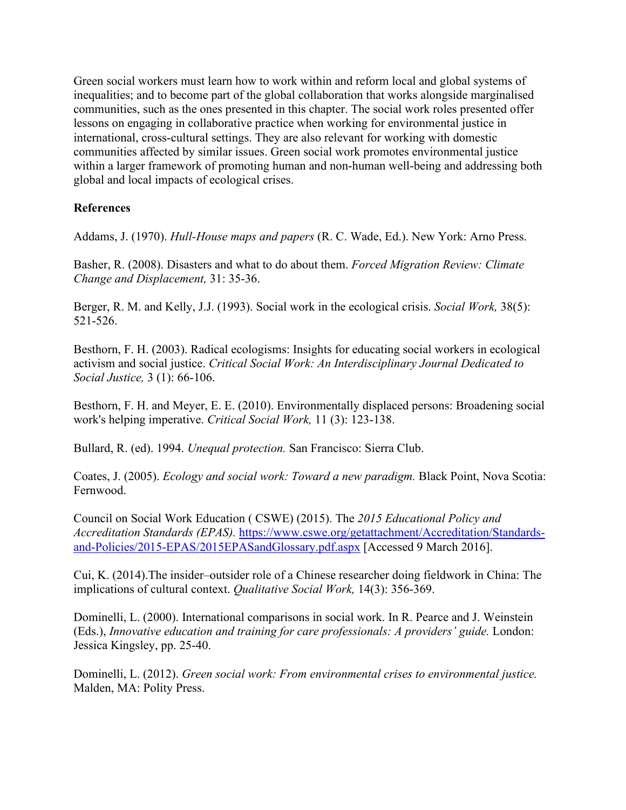Green social workers must learn how to work within and reform local and global systems of inequalities; and to become part of the global collaboration that works alongside marginalised communities, such as the ones presented in this chapter. The social work roles presented offer lessons on engaging in collaborative practice when working for environmental justice in international, cross-cultural settings. They are also relevant for working with domestic communities affected by similar issues. Green social work promotes environmental justice within a larger framework of promoting human and non-human well-being and addressing both global and local impacts of ecological crises.

## **References**

Addams, J. (1970). *Hull-House maps and papers* (R. C. Wade, Ed.). New York: Arno Press.

Basher, R. (2008). Disasters and what to do about them. *Forced Migration Review: Climate Change and Displacement,* 31: 35-36.

Berger, R. M. and Kelly, J.J. (1993). Social work in the ecological crisis. *Social Work,* 38(5): 521-526.

Besthorn, F. H. (2003). Radical ecologisms: Insights for educating social workers in ecological activism and social justice. *Critical Social Work: An Interdisciplinary Journal Dedicated to Social Justice,* 3 (1): 66-106.

Besthorn, F. H. and Meyer, E. E. (2010). Environmentally displaced persons: Broadening social work's helping imperative. *Critical Social Work,* 11 (3): 123-138.

Bullard, R. (ed). 1994. *Unequal protection.* San Francisco: Sierra Club.

Coates, J. (2005). *Ecology and social work: Toward a new paradigm.* Black Point, Nova Scotia: Fernwood.

Council on Social Work Education ( CSWE) (2015). The *2015 Educational Policy and Accreditation Standards (EPAS).* [https://www.cswe.org/getattachment/Accreditation/Standards](https://www.cswe.org/getattachment/Accreditation/Standards-and-Policies/2015-EPAS/2015EPASandGlossary.pdf.aspx)[and-Policies/2015-EPAS/2015EPASandGlossary.pdf.aspx](https://www.cswe.org/getattachment/Accreditation/Standards-and-Policies/2015-EPAS/2015EPASandGlossary.pdf.aspx) [Accessed 9 March 2016].

Cui, K. (2014).The insider–outsider role of a Chinese researcher doing fieldwork in China: The implications of cultural context. *Qualitative Social Work,* 14(3): 356-369.

Dominelli, L. (2000). International comparisons in social work. In R. Pearce and J. Weinstein (Eds.), *Innovative education and training for care professionals: A providers' guide.* London: Jessica Kingsley, pp. 25-40.

Dominelli, L. (2012). *Green social work: From environmental crises to environmental justice.*  Malden, MA: Polity Press.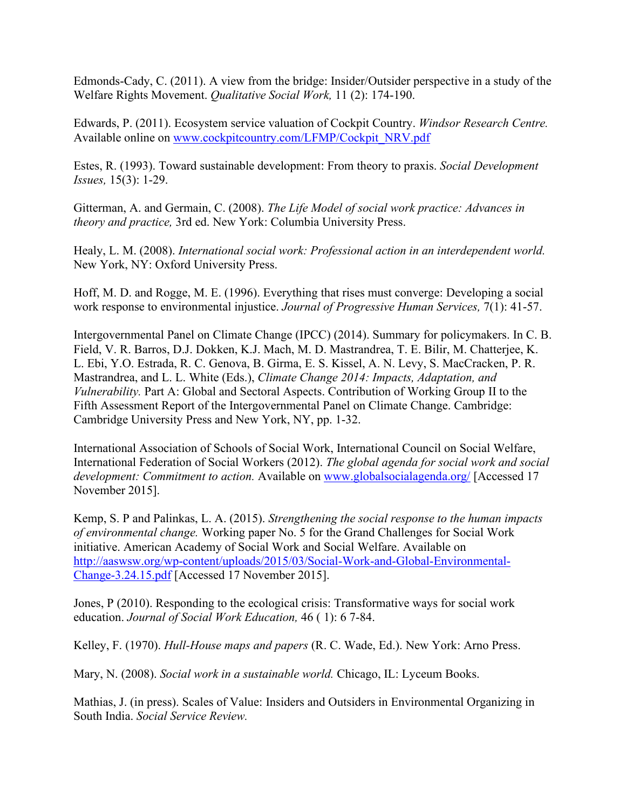Edmonds-Cady, C. (2011). A view from the bridge: Insider/Outsider perspective in a study of the Welfare Rights Movement. *Qualitative Social Work,* 11 (2): 174-190.

Edwards, P. (2011). Ecosystem service valuation of Cockpit Country. *Windsor Research Centre.*  Available online on [www.cockpitcountry.com/LFMP/Cockpit\\_NRV.pdf](http://www.cockpitcountry.com/LFMP/Cockpit_NRV.pdf)

Estes, R. (1993). Toward sustainable development: From theory to praxis. *Social Development Issues,* 15(3): 1-29.

Gitterman, A. and Germain, C. (2008). *The Life Model of social work practice: Advances in theory and practice,* 3rd ed. New York: Columbia University Press.

Healy, L. M. (2008). *International social work: Professional action in an interdependent world.*  New York, NY: Oxford University Press.

Hoff, M. D. and Rogge, M. E. (1996). Everything that rises must converge: Developing a social work response to environmental injustice. *Journal of Progressive Human Services,* 7(1): 41-57.

Intergovernmental Panel on Climate Change (IPCC) (2014). Summary for policymakers. In C. B. Field, V. R. Barros, D.J. Dokken, K.J. Mach, M. D. Mastrandrea, T. E. Bilir, M. Chatterjee, K. L. Ebi, Y.O. Estrada, R. C. Genova, B. Girma, E. S. Kissel, A. N. Levy, S. MacCracken, P. R. Mastrandrea, and L. L. White (Eds.), *Climate Change 2014: Impacts, Adaptation, and Vulnerability.* Part A: Global and Sectoral Aspects. Contribution of Working Group II to the Fifth Assessment Report of the Intergovernmental Panel on Climate Change. Cambridge: Cambridge University Press and New York, NY, pp. 1-32.

International Association of Schools of Social Work, International Council on Social Welfare, International Federation of Social Workers (2012). *The global agenda for social work and social development: Commitment to action.* Available on [www.globalsocialagenda.org/](http://www.globalsocialagenda.org/) [Accessed 17 November 2015].

Kemp, S. P and Palinkas, L. A. (2015). *Strengthening the social response to the human impacts of environmental change.* Working paper No. 5 for the Grand Challenges for Social Work initiative. American Academy of Social Work and Social Welfare. Available on [http://aaswsw.org/wp-content/uploads/2015/03/Social-Work-and-Global-Environmental-](http://aaswsw.org/wp-content/uploads/2015/03/Social-Work-and-Global-Environmental-Change-3.24.15.pdf)[Change-3.24.15.pdf](http://aaswsw.org/wp-content/uploads/2015/03/Social-Work-and-Global-Environmental-Change-3.24.15.pdf) [Accessed 17 November 2015].

Jones, P (2010). Responding to the ecological crisis: Transformative ways for social work education. *Journal of Social Work Education,* 46 ( 1): 6 7-84.

Kelley, F. (1970). *Hull-House maps and papers* (R. C. Wade, Ed.). New York: Arno Press.

Mary, N. (2008). *Social work in a sustainable world.* Chicago, IL: Lyceum Books.

Mathias, J. (in press). Scales of Value: Insiders and Outsiders in Environmental Organizing in South India. *Social Service Review.*